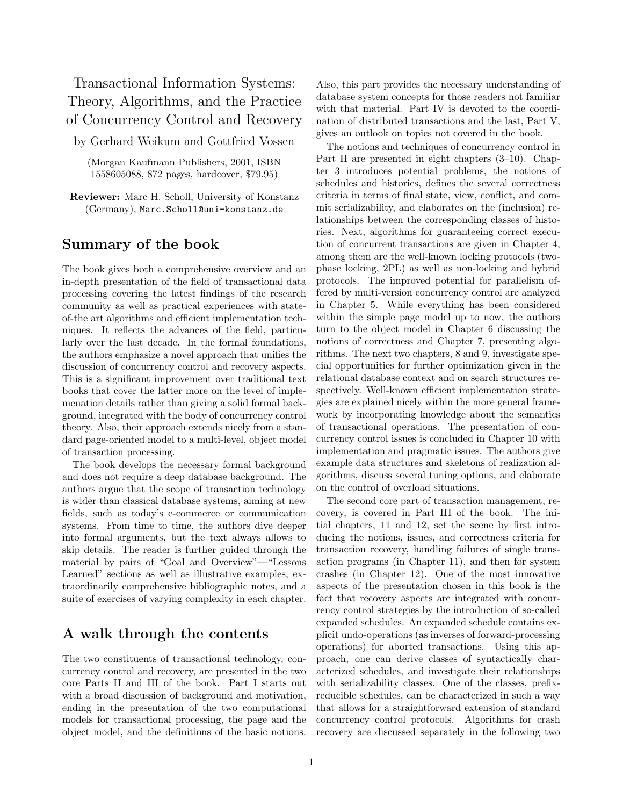# Transactional Information Systems: Theory, Algorithms, and the Practice of Concurrency Control and Recovery

by Gerhard Weikum and Gottfried Vossen

(Morgan Kaufmann Publishers, 2001, ISBN 1558605088, 872 pages, hardcover, \$79.95)

Reviewer: Marc H. Scholl, University of Konstanz (Germany), Marc.Scholl@uni-konstanz.de

### Summary of the book

The book gives both a comprehensive overview and an in-depth presentation of the field of transactional data processing covering the latest findings of the research community as well as practical experiences with stateof-the art algorithms and efficient implementation techniques. It reflects the advances of the field, particularly over the last decade. In the formal foundations, the authors emphasize a novel approach that unifies the discussion of concurrency control and recovery aspects. This is a significant improvement over traditional text books that cover the latter more on the level of implemenation details rather than giving a solid formal background, integrated with the body of concurrency control theory. Also, their approach extends nicely from a standard page-oriented model to a multi-level, object model of transaction processing.

The book develops the necessary formal background and does not require a deep database background. The authors argue that the scope of transaction technology is wider than classical database systems, aiming at new fields, such as today's e-commerce or communication systems. From time to time, the authors dive deeper into formal arguments, but the text always allows to skip details. The reader is further guided through the material by pairs of "Goal and Overview"—"Lessons Learned" sections as well as illustrative examples, extraordinarily comprehensive bibliographic notes, and a suite of exercises of varying complexity in each chapter.

## A walk through the contents

The two constituents of transactional technology, concurrency control and recovery, are presented in the two core Parts II and III of the book. Part I starts out with a broad discussion of background and motivation, ending in the presentation of the two computational models for transactional processing, the page and the object model, and the definitions of the basic notions. Also, this part provides the necessary understanding of database system concepts for those readers not familiar with that material. Part IV is devoted to the coordination of distributed transactions and the last, Part V, gives an outlook on topics not covered in the book.

The notions and techniques of concurrency control in Part II are presented in eight chapters (3–10). Chapter 3 introduces potential problems, the notions of schedules and histories, defines the several correctness criteria in terms of final state, view, conflict, and commit serializability, and elaborates on the (inclusion) relationships between the corresponding classes of histories. Next, algorithms for guaranteeing correct execution of concurrent transactions are given in Chapter 4, among them are the well-known locking protocols (twophase locking, 2PL) as well as non-locking and hybrid protocols. The improved potential for parallelism offered by multi-version concurrency control are analyzed in Chapter 5. While everything has been considered within the simple page model up to now, the authors turn to the object model in Chapter 6 discussing the notions of correctness and Chapter 7, presenting algorithms. The next two chapters, 8 and 9, investigate special opportunities for further optimization given in the relational database context and on search structures respectively. Well-known efficient implementation strategies are explained nicely within the more general framework by incorporating knowledge about the semantics of transactional operations. The presentation of concurrency control issues is concluded in Chapter 10 with implementation and pragmatic issues. The authors give example data structures and skeletons of realization algorithms, discuss several tuning options, and elaborate on the control of overload situations.

The second core part of transaction management, recovery, is covered in Part III of the book. The initial chapters, 11 and 12, set the scene by first introducing the notions, issues, and correctness criteria for transaction recovery, handling failures of single transaction programs (in Chapter 11), and then for system crashes (in Chapter 12). One of the most innovative aspects of the presentation chosen in this book is the fact that recovery aspects are integrated with concurrency control strategies by the introduction of so-called expanded schedules. An expanded schedule contains explicit undo-operations (as inverses of forward-processing operations) for aborted transactions. Using this approach, one can derive classes of syntactically characterized schedules, and investigate their relationships with serializability classes. One of the classes, prefixreducible schedules, can be characterized in such a way that allows for a straightforward extension of standard concurrency control protocols. Algorithms for crash recovery are discussed separately in the following two